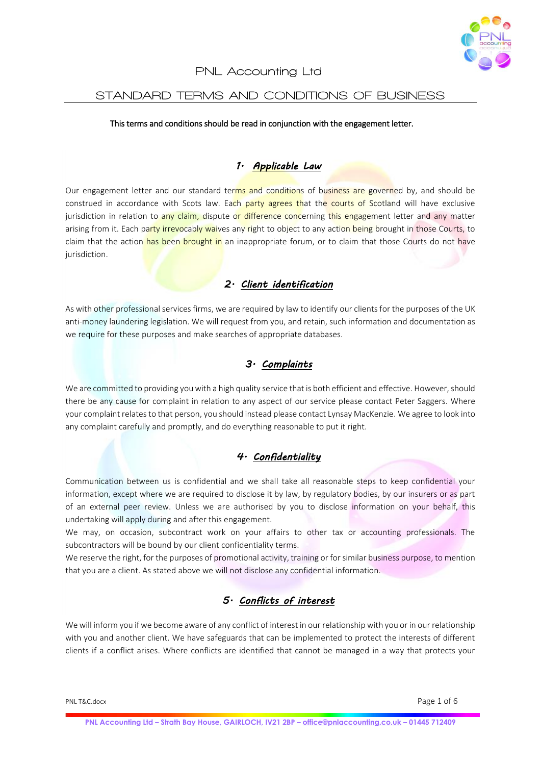

#### PNL Accounting Ltd

#### STANDARD TERMS AND CONDITIONS OF BUSINESS

#### This terms and conditions should be read in conjunction with the engagement letter.

### *1. Applicable Law*

Our engagement letter and our standard terms and conditions of business are governed by, and should be construed in accordance with Scots law. Each party agrees that the courts of Scotland will have exclusive jurisdiction in relation to any claim, dispute or difference concerning this engagement letter and any matter arising from it. Each party irrevocably waives any right to object to any action being brought in those Courts, to claim that the action has been brought in an inappropriate forum, or to claim that those Courts do not have jurisdiction.

## *2. Client identification*

As with other professional services firms, we are required by law to identify our clients for the purposes of the UK anti-money laundering legislation. We will request from you, and retain, such information and documentation as we require for these purposes and make searches of appropriate databases.

## *3. Complaints*

We are committed to providing you with a high quality service that is both efficient and effective. However, should there be any cause for complaint in relation to any aspect of our service please contact Peter Saggers. Where your complaint relates to that person, you should instead please contact Lynsay MacKenzie. We agree to look into any complaint carefully and promptly, and do everything reasonable to put it right.

### *4. Confidentiality*

Communication between us is confidential and we shall take all reasonable steps to keep confidential your information, except where we are required to disclose it by law, by regulatory bodies, by our insurers or as part of an external peer review. Unless we are authorised by you to disclose information on your behalf, this undertaking will apply during and after this engagement.

We may, on occasion, subcontract work on your affairs to other tax or accounting professionals. The subcontractors will be bound by our client confidentiality terms.

We reserve the right, for the purposes of promotional activity, training or for similar business purpose, to mention that you are a client. As stated above we will not disclose any confidential information.

## *5. Conflicts of interest*

We will inform you if we become aware of any conflict of interest in our relationship with you or in our relationship with you and another client. We have safeguards that can be implemented to protect the interests of different clients if a conflict arises. Where conflicts are identified that cannot be managed in a way that protects your

PNL T&C.docx Page 1 of 6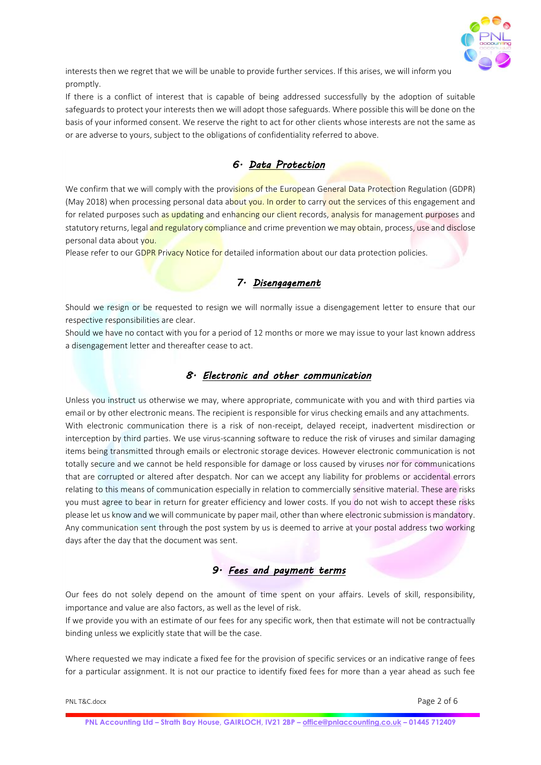

interests then we regret that we will be unable to provide further services. If this arises, we will inform you promptly.

If there is a conflict of interest that is capable of being addressed successfully by the adoption of suitable safeguards to protect your interests then we will adopt those safeguards. Where possible this will be done on the basis of your informed consent. We reserve the right to act for other clients whose interests are not the same as or are adverse to yours, subject to the obligations of confidentiality referred to above.

# *6. Data Protection*

We confirm that we will comply with the provisions of the European General Data Protection Regulation (GDPR) (May 2018) when processing personal data about you. In order to carry out the services of this engagement and for related purposes such as updating and enhancing our client records, analysis for management purposes and statutory returns, legal and regulatory compliance and crime prevention we may obtain, process, use and disclose personal data about you.

Please refer to our GDPR Privacy Notice for detailed information about our data protection policies.

### *7. Disengagement*

Should we resign or be requested to resign we will normally issue a disengagement letter to ensure that our respective responsibilities are clear.

Should we have no contact with you for a period of 12 months or more we may issue to your last known address a disengagement letter and thereafter cease to act.

## *8. Electronic and other communication*

Unless you instruct us otherwise we may, where appropriate, communicate with you and with third parties via email or by other electronic means. The recipient is responsible for virus checking emails and any attachments. With electronic communication there is a risk of non-receipt, delayed receipt, inadvertent misdirection or interception by third parties. We use virus-scanning software to reduce the risk of viruses and similar damaging items being transmitted through emails or electronic storage devices. However electronic communication is not totally secure and we cannot be held responsible for damage or loss caused by viruses nor for communications that are corrupted or altered after despatch. Nor can we accept any liability for problems or accidental errors relating to this means of communication especially in relation to commercially sensitive material. These are risks you must agree to bear in return for greater efficiency and lower costs. If you do not wish to accept these risks please let us know and we will communicate by paper mail, other than where electronic submission is mandatory. Any communication sent through the post system by us is deemed to arrive at your postal address two working days after the day that the document was sent.

### *9. Fees and payment terms*

Our fees do not solely depend on the amount of time spent on your affairs. Levels of skill, responsibility, importance and value are also factors, as well as the level of risk.

If we provide you with an estimate of our fees for any specific work, then that estimate will not be contractually binding unless we explicitly state that will be the case.

Where requested we may indicate a fixed fee for the provision of specific services or an indicative range of fees for a particular assignment. It is not our practice to identify fixed fees for more than a year ahead as such fee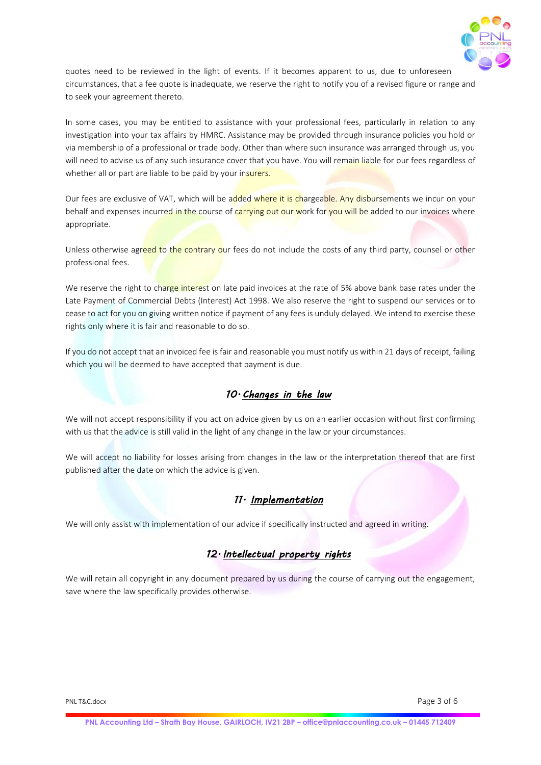

quotes need to be reviewed in the light of events. If it becomes apparent to us, due to unforeseen circumstances, that a fee quote is inadequate, we reserve the right to notify you of a revised figure or range and to seek your agreement thereto.

In some cases, you may be entitled to assistance with your professional fees, particularly in relation to any investigation into your tax affairs by HMRC. Assistance may be provided through insurance policies you hold or via membership of a professional or trade body. Other than where such insurance was arranged through us, you will need to advise us of any such insurance cover that you have. You will remain liable for our fees regardless of whether all or part are liable to be paid by your insurers.

Our fees are exclusive of VAT, which will be added where it is chargeable. Any disbursements we incur on your behalf and expenses incurred in the course of carrying out our work for you will be added to our invoices where appropriate.

Unless otherwise agreed to the contrary our fees do not include the costs of any third party, counsel or other professional fees.

We reserve the right to charge interest on late paid invoices at the rate of 5% above bank base rates under the Late Payment of Commercial Debts (Interest) Act 1998. We also reserve the right to suspend our services or to cease to act for you on giving written notice if payment of any fees is unduly delayed. We intend to exercise these rights only where it is fair and reasonable to do so.

If you do not accept that an invoiced fee is fair and reasonable you must notify us within 21 days of receipt, failing which you will be deemed to have accepted that payment is due.

## *10. Changes in the law*

We will not accept responsibility if you act on advice given by us on an earlier occasion without first confirming with us that the advice is still valid in the light of any change in the law or your circumstances.

We will accept no liability for losses arising from changes in the law or the interpretation thereof that are first published after the date on which the advice is given.

## *11. Implementation*

We will only assist with implementation of our advice if specifically instructed and agreed in writing.

## *12. Intellectual property rights*

We will retain all copyright in any document prepared by us during the course of carrying out the engagement, save where the law specifically provides otherwise.

PNL T&C.docx Page 3 of 6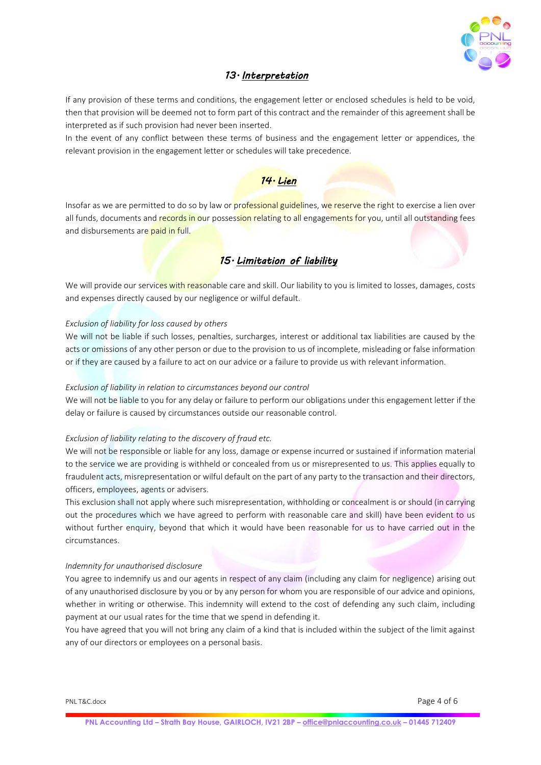

### *13. Interpretation*

If any provision of these terms and conditions, the engagement letter or enclosed schedules is held to be void, then that provision will be deemed not to form part of this contract and the remainder of this agreement shall be interpreted as if such provision had never been inserted.

In the event of any conflict between these terms of business and the engagement letter or appendices, the relevant provision in the engagement letter or schedules will take precedence.

## *14. Lien*

Insofar as we are permitted to do so by law or professional guidelines, we reserve the right to exercise a lien over all funds, documents and records in our possession relating to all engagements for you, until all outstanding fees and disbursements are paid in full.

## *15. Limitation of liability*

We will provide our services with reasonable care and skill. Our liability to you is limited to losses, damages, costs and expenses directly caused by our negligence or wilful default.

#### *Exclusion of liability for loss caused by others*

We will not be liable if such losses, penalties, surcharges, interest or additional tax liabilities are caused by the acts or omissions of any other person or due to the provision to us of incomplete, misleading or false information or if they are caused by a failure to act on our advice or a failure to provide us with relevant information.

#### *Exclusion of liability in relation to circumstances beyond our control*

We will not be liable to you for any delay or failure to perform our obligations under this engagement letter if the delay or failure is caused by circumstances outside our reasonable control.

#### *Exclusion of liability relating to the discovery of fraud etc.*

We will not be responsible or liable for any loss, damage or expense incurred or sustained if information material to the service we are providing is withheld or concealed from us or misrepresented to us. This applies equally to fraudulent acts, misrepresentation or wilful default on the part of any party to the transaction and their directors, officers, employees, agents or advisers.

This exclusion shall not apply where such misrepresentation, withholding or concealment is or should (in carrying out the procedures which we have agreed to perform with reasonable care and skill) have been evident to us without further enquiry, beyond that which it would have been reasonable for us to have carried out in the circumstances.

#### *Indemnity for unauthorised disclosure*

You agree to indemnify us and our agents in respect of any claim (including any claim for negligence) arising out of any unauthorised disclosure by you or by any person for whom you are responsible of our advice and opinions, whether in writing or otherwise. This indemnity will extend to the cost of defending any such claim, including payment at our usual rates for the time that we spend in defending it.

You have agreed that you will not bring any claim of a kind that is included within the subject of the limit against any of our directors or employees on a personal basis.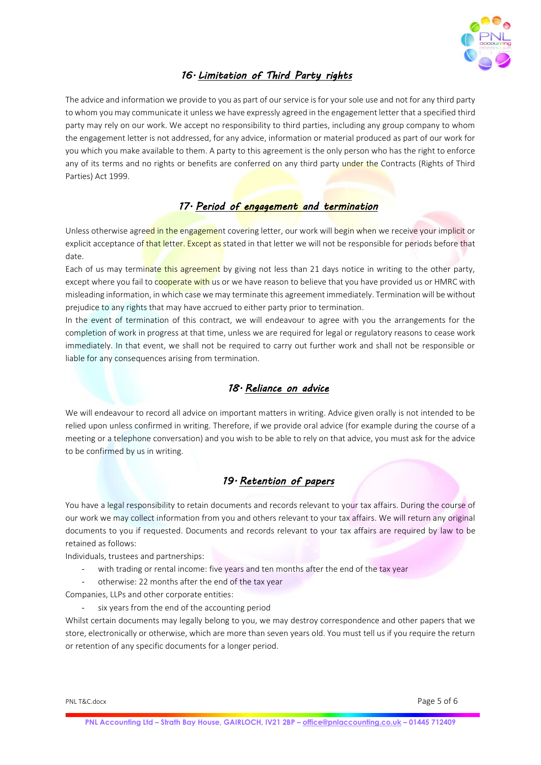

# *16. Limitation of Third Party rights*

The advice and information we provide to you as part of our service is for your sole use and not for any third party to whom you may communicate it unless we have expressly agreed in the engagement letter that a specified third party may rely on our work. We accept no responsibility to third parties, including any group company to whom the engagement letter is not addressed, for any advice, information or material produced as part of our work for you which you make available to them. A party to this agreement is the only person who has the right to enforce any of its terms and no rights or benefits are conferred on any third party under the Contracts (Rights of Third Parties) Act 1999.

# *17. Period of engagement and termination*

Unless otherwise agreed in the engagement covering letter, our work will begin when we receive your implicit or explicit acceptance of that letter. Except as stated in that letter we will not be responsible for periods before that date.

Each of us may terminate this agreement by giving not less than 21 days notice in writing to the other party, except where you fail to cooperate with us or we have reason to believe that you have provided us or HMRC with misleading information, in which case we may terminate this agreement immediately. Termination will be without prejudice to any rights that may have accrued to either party prior to termination.

In the event of termination of this contract, we will endeavour to agree with you the arrangements for the completion of work in progress at that time, unless we are required for legal or regulatory reasons to cease work immediately. In that event, we shall not be required to carry out further work and shall not be responsible or liable for any consequences arising from termination.

## *18. Reliance on advice*

We will endeavour to record all advice on important matters in writing. Advice given orally is not intended to be relied upon unless confirmed in writing. Therefore, if we provide oral advice (for example during the course of a meeting or a telephone conversation) and you wish to be able to rely on that advice, you must ask for the advice to be confirmed by us in writing.

### *19. Retention of papers*

You have a legal responsibility to retain documents and records relevant to your tax affairs. During the course of our work we may collect information from you and others relevant to your tax affairs. We will return any original documents to you if requested. Documents and records relevant to your tax affairs are required by law to be retained as follows:

Individuals, trustees and partnerships:

- with trading or rental income: five years and ten months after the end of the tax year
- otherwise: 22 months after the end of the tax year

Companies, LLPs and other corporate entities:

six years from the end of the accounting period

Whilst certain documents may legally belong to you, we may destroy correspondence and other papers that we store, electronically or otherwise, which are more than seven years old. You must tell us if you require the return or retention of any specific documents for a longer period.

PNL T&C.docx Page 5 of 6